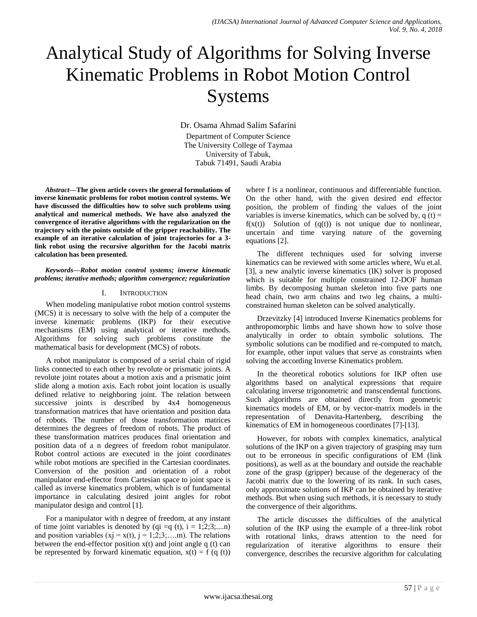# Analytical Study of Algorithms for Solving Inverse Kinematic Problems in Robot Motion Control Systems

Dr. Osama Ahmad Salim Safarini Department of Computer Science The University College of Taymaa University of Tabuk, Tabuk 71491, Saudi Arabia

*Abstract***—The given article covers the general formulations of inverse kinematic problems for robot motion control systems. We have discussed the difficulties how to solve such problems using analytical and numerical methods. We have also analyzed the convergence of iterative algorithms with the regularization on the trajectory with the points outside of the gripper reachability. The example of an iterative calculation of joint trajectories for a 3 link robot using the recursive algorithm for the Jacobi matrix calculation has been presented.**

*Keywords—Robot motion control systems; inverse kinematic problems; iterative methods; algorithm convergence; regularization*

## I. INTRODUCTION

When modeling manipulative robot motion control systems (MCS) it is necessary to solve with the help of a computer the inverse kinematic problems (IKP) for their executive mechanisms (EM) using analytical or iterative methods. Algorithms for solving such problems constitute the mathematical basis for development (MCS) of robots.

A robot manipulator is composed of a serial chain of rigid links connected to each other by revolute or prismatic joints. A revolute joint rotates about a motion axis and a prismatic joint slide along a motion axis. Each robot joint location is usually defined relative to neighboring joint. The relation between successive joints is described by 4x4 homogeneous transformation matrices that have orientation and position data of robots. The number of those transformation matrices determines the degrees of freedom of robots. The product of these transformation matrices produces final orientation and position data of a n degrees of freedom robot manipulator. Robot control actions are executed in the joint coordinates while robot motions are specified in the Cartesian coordinates. Conversion of the position and orientation of a robot manipulator end-effector from Cartesian space to joint space is called as inverse kinematics problem, which is of fundamental importance in calculating desired joint angles for robot manipulator design and control [1].

For a manipulator with n degree of freedom, at any instant of time joint variables is denoted by  $(qi = q(t), i = 1, 2, 3, \dots n)$ and position variables (xj = x(t), j = 1;2;3;….m). The relations between the end-effector position  $x(t)$  and joint angle q  $(t)$  can be represented by forward kinematic equation,  $x(t) = f(q(t))$  where f is a nonlinear, continuous and differentiable function. On the other hand, with the given desired end effector position, the problem of finding the values of the joint variables is inverse kinematics, which can be solved by,  $q(t) =$  $f(x(t))$  Solution of  $(q(t))$  is not unique due to nonlinear, uncertain and time varying nature of the governing equations [2].

The different techniques used for solving inverse kinematics can be reviewed with some articles where, Wu et.al. [3], a new analytic inverse kinematics (IK) solver is proposed which is suitable for multiple constrained 12-DOF human limbs. By decomposing human skeleton into five parts one head chain, two arm chains and two leg chains, a multiconstrained human skeleton can be solved analytically.

Drzevitzky [4] introduced Inverse Kinematics problems for anthropomorphic limbs and have shown how to solve those analytically in order to obtain symbolic solutions. The symbolic solutions can be modified and re-computed to match, for example, other input values that serve as constraints when solving the according Inverse Kinematics problem.

In the theoretical robotics solutions for IKP often use algorithms based on analytical expressions that require calculating inverse trigonometric and transcendental functions. Such algorithms are obtained directly from geometric kinematics models of EM, or by vector-matrix models in the representation of Denavita-Hartenberg, describing the kinematics of EM in homogeneous coordinates [7]-[13].

However, for robots with complex kinematics, analytical solutions of the IKP on a given trajectory of grasping may turn out to be erroneous in specific configurations of EM (link positions), as well as at the boundary and outside the reachable zone of the grasp (gripper) because of the degeneracy of the Jacobi matrix due to the lowering of its rank. In such cases, only approximate solutions of IKP can be obtained by iterative methods. But when using such methods, it is necessary to study the convergence of their algorithms.

The article discusses the difficulties of the analytical solution of the IKP using the example of a three-link robot with rotational links, draws attention to the need for regularization of iterative algorithms to ensure their convergence, describes the recursive algorithm for calculating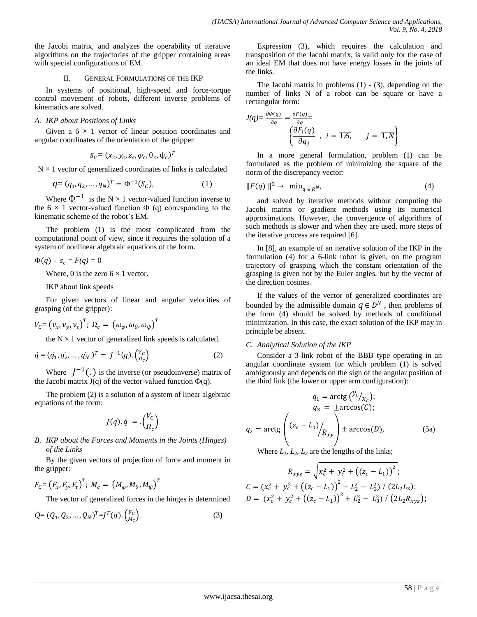the Jacobi matrix, and analyzes the operability of iterative algorithms on the trajectories of the gripper containing areas with special configurations of EM.

## II. GENERAL FORMULATIONS OF THE IKP

In systems of positional, high-speed and force-torque control movement of robots, different inverse problems of kinematics are solved.

## *A. IKP about Positions of Links*

Given a  $6 \times 1$  vector of linear position coordinates and angular coordinates of the orientation of the gripper

$$
S_{\mathcal{C}} = (x_c, y_c, z_c, \varphi_c, \theta_c, \psi_c)^T
$$

 $N \times 1$  vector of generalized coordinates of links is calculated

$$
q = (q_1, q_2, ..., q_N)^T = \Phi^{-1}(S_C),
$$
 (1)

Where  $\Phi^{-1}$  is the N  $\times$  1 vector-valued function inverse to the  $6 \times 1$  vector-valued function  $\Phi$  (q) corresponding to the kinematic scheme of the robot's EM.

The problem (1) is the most complicated from the computational point of view, since it requires the solution of a system of nonlinear algebraic equations of the form.

$$
\Phi(q) - s_c = F(q) = 0
$$

Where, 0 is the zero  $6 \times 1$  vector.

IKP about link speeds

For given vectors of linear and angular velocities of grasping (of the gripper):

$$
V_C = (\nu_x, \nu_y, \nu_\tau)^T; \; \Omega_c = (\omega_\varphi, \omega_\theta, \omega_\psi)^T
$$

the  $N \times 1$  vector of generalized link speeds is calculated.

$$
\dot{q} = (q_1, q_2, \dots, q_N)^T = J^{-1}(q) \cdot \begin{pmatrix} v_c \\ a_c \end{pmatrix}
$$
 (2)

Where  $J^{-1}$ . is the inverse (or pseudoinverse) matrix of the Jacobi matrix  $J(q)$  of the vector-valued function  $\Phi(q)$ .

The problem (2) is a solution of a system of linear algebraic equations of the form:

$$
J(q).\dot{q} = .\begin{pmatrix} V_c \\ \Omega_c \end{pmatrix}
$$

*B. IKP about the Forces and Moments in the Joints (Hinges) of the Links*

By the given vectors of projection of force and moment in the gripper:

$$
F_{C} = (F_{x}, F_{y}, F_{\tau})^{T}; M_{c} = (M_{\varphi}, M_{\theta}, M_{\psi})^{T}
$$

The vector of generalized forces in the hinges is determined

$$
Q = (Q_1, Q_2, ..., Q_N)^T = J^T(q) \cdot {F_c \choose M_c}.
$$
 (3)

Expression (3), which requires the calculation and transposition of the Jacobi matrix, is valid only for the case of an ideal EM that does not have energy losses in the joints of the links.

The Jacobi matrix in problems  $(1)$  -  $(3)$ , depending on the number of links N of a robot can be square or have a rectangular form:

$$
J(q) = \frac{\partial \Phi(q)}{\partial q} = \frac{\partial F(q)}{\partial q} = \begin{cases} \frac{\partial F_i(q)}{\partial q_j} & i = \overline{1,6}, \quad j = \overline{1,N} \end{cases}
$$

In a more general formulation, problem (1) can be formulated as the problem of minimizing the square of the norm of the discrepancy vector:

$$
||F(q)||^2 \to \min_{q \in R^N},
$$
\n(4)

and solved by iterative methods without computing the Jacobi matrix or gradient methods using its numerical approximations. However, the convergence of algorithms of such methods is slower and when they are used, more steps of the iterative process are required [6].

In [8], an example of an iterative solution of the IKP in the formulation (4) for a 6-link robot is given, on the program trajectory of grasping which the constant orientation of the grasping is given not by the Euler angles, but by the vector of the direction cosines.

If the values of the vector of generalized coordinates are bounded by the admissible domain  $q \in D^N$ , then problems of the form (4) should be solved by methods of conditional minimization. In this case, the exact solution of the IKP may in principle be absent.

# *C. Analytical Solution of the IKP*

Consider a 3-link robot of the BBB type operating in an angular coordinate system for which problem (1) is solved ambiguously and depends on the sign of the angular position of the third link (the lower or upper arm configuration):

$$
q_1 = \arctg\left(\frac{y_c}{x_c}\right);
$$
  
\n
$$
q_3 = \pm \arccos(C);
$$
  
\n
$$
q_2 = \arctg\left(\frac{(z_c - L_1)}{R_{xy}}\right) \pm \arccos(D),
$$
\n(5a)

Where  $L_1$ ,  $L_2$ ,  $L_3$  are the lengths of the links;

$$
R_{xyz} = \sqrt{x_c^2 + y_c^2 + ((z_c - L_1))^2};
$$
  
\n
$$
C = (x_c^2 + y_c^2 + ((z_c - L_1))^2 - L_2^2 - L_3^2) / (2L_2L_3);
$$
  
\n
$$
D = (x_c^2 + y_c^2 + ((z_c - L_1))^2 + L_2^2 - L_3^2) / (2L_2R_{xyz});
$$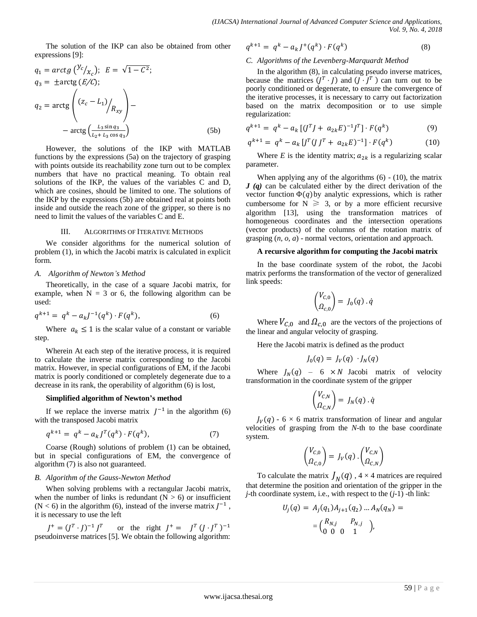The solution of the IKP can also be obtained from other expressions [9]:

$$
q_1 = \arctg\left(\frac{y_c}{x_c}\right); \quad E = \sqrt{1 - C^2};
$$
\n
$$
q_3 = \pm \arctg\left(\frac{E}{C};\right)
$$
\n
$$
q_2 = \arctg\left(\frac{(z_c - L_1)}{R_{xy}}\right) - \arctg\left(\frac{L_3 \sin q_3}{L_2 + L_3 \cos q_3}\right) \tag{5b}
$$

However, the solutions of the IKP with MATLAB functions by the expressions (5a) on the trajectory of grasping with points outside its reachability zone turn out to be complex numbers that have no practical meaning. To obtain real solutions of the IKP, the values of the variables C and D, which are cosines, should be limited to one. The solutions of the IKP by the expressions (5b) are obtained real at points both inside and outside the reach zone of the gripper, so there is no need to limit the values of the variables C and E.

#### III. ALGORITHMS OF ITERATIVE METHODS

We consider algorithms for the numerical solution of problem (1), in which the Jacobi matrix is calculated in explicit form.

#### *A. Algorithm of Newton's Method*

Theoretically, in the case of a square Jacobi matrix, for example, when  $N = 3$  or 6, the following algorithm can be used:

$$
q^{k+1} = q^k - a_k J^{-1}(q^k) \cdot F(q^k), \tag{6}
$$

Where  $a_k \leq 1$  is the scalar value of a constant or variable step.

Wherein At each step of the iterative process, it is required to calculate the inverse matrix corresponding to the Jacobi matrix. However, in special configurations of EM, if the Jacobi matrix is poorly conditioned or completely degenerate due to a decrease in its rank, the operability of algorithm (6) is lost,

#### **Simplified algorithm of Newton's method**

If we replace the inverse matrix  $J^{-1}$  in the algorithm (6) with the transposed Jacobi matrix

$$
q^{k+1} = q^k - a_k J^T(q^k) \cdot F(q^k), \qquad (7)
$$

Coarse (Rough) solutions of problem (1) can be obtained, but in special configurations of EM, the convergence of algorithm (7) is also not guaranteed.

#### *B. Algorithm of the Gauss-Newton Method*

When solving problems with a rectangular Jacobi matrix, when the number of links is redundant  $(N > 6)$  or insufficient  $(N < 6)$  in the algorithm (6), instead of the inverse matrix  $J^{-1}$ , it is necessary to use the left

$$
J^+ = (J^T \cdot J)^{-1} J^T
$$
 or the right  $J^+ = J^T (J \cdot J^T)^{-1}$   
pseudoinverse matrices [5]. We obtain the following algorithm:

$$
q^{k+1} = q^k - a_k J^+(q^k) \cdot F(q^k)
$$
 (8)

### *C. Algorithms of the Levenberg-Marquardt Method*

In the algorithm (8), in calculating pseudo inverse matrices, because the matrices  $(J^T \cdot J)$  and  $(J \cdot J^T)$  can turn out to be poorly conditioned or degenerate, to ensure the convergence of the iterative processes, it is necessary to carry out factorization based on the matrix decomposition or to use simple regularization:

$$
q^{k+1} = q^k - a_k [(J^T J + a_{2k} E)^{-1} J^T] \cdot F(q^k)
$$
 (9)

$$
q^{k+1} = q^k - a_k \left[ J^T (J J^T + a_{2k} E)^{-1} \right] \cdot F(q^k)
$$
 (10)

Where *E* is the identity matrix;  $a_{2k}$  is a regularizing scalar parameter.

When applying any of the algorithms  $(6)$  -  $(10)$ , the matrix *J (q)* can be calculated either by the direct derivation of the vector function  $\Phi(q)$  by analytic expressions, which is rather cumbersome for  $N \ge 3$ , or by a more efficient recursive algorithm [13], using the transformation matrices of homogeneous coordinates and the intersection operations (vector products) of the columns of the rotation matrix of grasping (*n, o, a*) - normal vectors, orientation and approach.

#### **A recursive algorithm for computing the Jacobi matrix**

In the base coordinate system of the robot, the Jacobi matrix performs the transformation of the vector of generalized link speeds:

$$
\begin{pmatrix} V_{C,0} \\ \Omega_{C,0} \end{pmatrix} = J_0(q) \cdot \dot{q}
$$

Where  $V_{C,0}$  and  $\Omega_{C,0}$  are the vectors of the projections of the linear and angular velocity of grasping.

Here the Jacobi matrix is defined as the product

$$
J_0(q) = J_V(q) \cdot J_N(q)
$$

Where  $J_N(q)$  – 6 × N Jacobi matrix of velocity transformation in the coordinate system of the gripper

$$
\begin{pmatrix} V_{C,N} \\ \Omega_{C,N} \end{pmatrix} = J_N(q) \cdot \dot{q}
$$

 $J_V(q)$  - 6  $\times$  6 matrix transformation of linear and angular velocities of grasping from the *N*-th to the base coordinate system.

$$
\begin{pmatrix} V_{C,0} \\ \Omega_{C,0} \end{pmatrix} = J_V(q) \cdot \begin{pmatrix} V_{C,N} \\ \Omega_{C,N} \end{pmatrix}
$$

To calculate the matrix  $J_N(q)$ ,  $4 \times 4$  matrices are required that determine the position and orientation of the gripper in the *j*-th coordinate system, i.e., with respect to the (*j*-1) -th link:

$$
U_j(q) = A_j(q_1)A_{j+1}(q_2) ... A_N(q_N) =
$$
  
=  $\begin{pmatrix} R_{N,j} & P_{N,j} \\ 0 & 0 & 1 \end{pmatrix}$ ,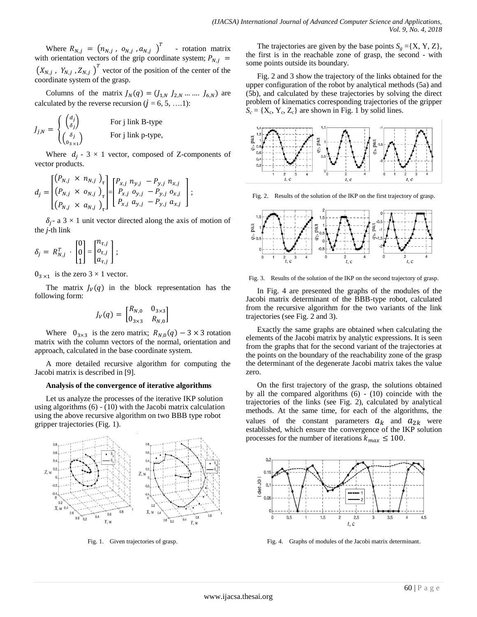Where  $R_{N,i} = (n_{N,i}, o_{N,i}, a_{N,i})^T$  - rotation matrix with orientation vectors of the grip coordinate system;  $(X_{N,i}, Y_{N,i}, Z_{N,i})^T$  vector of the position of the center of the coordinate system of the grasp.

Columns of the matrix  $J_N(q) = (J_{1,N} \, J_{2,N} \, ... \, ... \, J_{6,N})$  are calculated by the reverse recursion  $(j = 6, 5, \ldots 1)$ :

$$
J_{j,N} = \begin{cases} \begin{pmatrix} d_j \\ \delta_j \end{pmatrix} & \text{For } j \text{ link B-type} \\ \begin{pmatrix} \delta_j \\ 0_{3 \times 1} \end{pmatrix} & \text{For } j \text{ link p-type,} \end{cases}
$$

Where  $d_i - 3 \times 1$  vector, composed of Z-components of vector products.

$$
d_j = \begin{bmatrix} (P_{N,j} \times n_{N,j})_{\tau} \\ (P_{N,j} \times o_{N,j})_{\tau} \\ (P_{N,j} \times a_{N,j})_{\tau} \end{bmatrix} = \begin{bmatrix} P_{x,j} & n_{y,j} & -P_{y,j} & n_{x,j} \\ P_{x,j} & o_{y,j} & -P_{y,j} & o_{x,j} \\ P_{x,j} & a_{y,j} & -P_{y,j} & a_{x,j} \end{bmatrix};
$$

 $\delta_i$ - a 3 × 1 unit vector directed along the axis of motion of the *j-*th link

$$
\delta_j = R_{N,j}^T \cdot \begin{bmatrix} 0 \\ 0 \\ 1 \end{bmatrix} = \begin{bmatrix} n_{\tau,j} \\ o_{\tau,j} \\ a_{\tau,j} \end{bmatrix};
$$

 $0_{3 \times 1}$  is the zero  $3 \times 1$  vector.

The matrix  $J_V(q)$  in the block representation has the following form:

$$
J_V(q) = \begin{bmatrix} R_{N,0} & 0_{3 \times 3} \\ 0_{3 \times 3} & R_{N,0} \end{bmatrix}
$$

Where  $0_{3\times 3}$  is the zero matrix;  $R_{N,0}(q) - 3 \times 3$  rotation matrix with the column vectors of the normal, orientation and approach, calculated in the base coordinate system.

A more detailed recursive algorithm for computing the Jacobi matrix is described in [9].

#### **Analysis of the convergence of iterative algorithms**

Let us analyze the processes of the iterative IKP solution using algorithms (6) - (10) with the Jacobi matrix calculation using the above recursive algorithm on two BBB type robot gripper trajectories (Fig. 1).



Fig. 1. Given trajectories of grasp.

The trajectories are given by the base points  $S<sub>g</sub> = \{X, Y, Z\}$ , the first is in the reachable zone of grasp, the second - with some points outside its boundary.

Fig. 2 and 3 show the trajectory of the links obtained for the upper configuration of the robot by analytical methods (5a) and (5b), and calculated by these trajectories by solving the direct problem of kinematics corresponding trajectories of the gripper  $S_c = \{X_c, Y_c, Z_c\}$  are shown in Fig. 1 by solid lines.



Fig. 2. Results of the solution of the IKP on the first trajectory of grasp.



Fig. 3. Results of the solution of the IKP on the second trajectory of grasp.

In Fig. 4 are presented the graphs of the modules of the Jacobi matrix determinant of the BBB-type robot, calculated from the recursive algorithm for the two variants of the link trajectories (see Fig. 2 and 3).

Exactly the same graphs are obtained when calculating the elements of the Jacobi matrix by analytic expressions. It is seen from the graphs that for the second variant of the trajectories at the points on the boundary of the reachability zone of the grasp the determinant of the degenerate Jacobi matrix takes the value zero.

On the first trajectory of the grasp, the solutions obtained by all the compared algorithms (6) - (10) coincide with the trajectories of the links (see Fig. 2), calculated by analytical methods. At the same time, for each of the algorithms, the values of the constant parameters  $a_k$  and  $a_{2k}$  were established, which ensure the convergence of the IKP solution processes for the number of iterations  $k_{max} \le 100$ .



Fig. 4. Graphs of modules of the Jacobi matrix determinant.